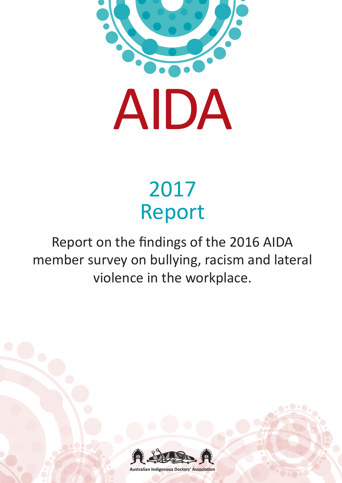

# 2017 Report

# Report on the findings of the 2016 AIDA member survey on bullying, racism and lateral violence in the workplace.



**Australian Indigenous Doctors' Association**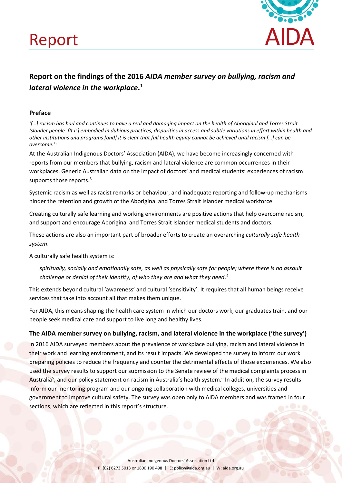



# **Report on the findings of the 2016** *AIDA member survey on bullying, racism and lateral violence in the workplace***. [1](#page-11-0)**

# **Preface**

*'[…] racism has had and continues to have a real and damaging impact on the health of Aboriginal and Torres Strait Islander people. [It is] embodied in dubious practices, disparities in access and subtle variations in effort within health and other institutions and programs [and] it is clear that full health equity cannot be achieved until racism […] can be overcome.'* [2](#page-11-1)

At the Australian Indigenous Doctors' Association (AIDA), we have become increasingly concerned with reports from our members that bullying, racism and lateral violence are common occurrences in their workplaces. Generic Australian data on the impact of doctors' and medical students' experiences of racism supports those reports.<sup>[3](#page-11-2)</sup>

Systemic racism as well as racist remarks or behaviour, and inadequate reporting and follow-up mechanisms hinder the retention and growth of the Aboriginal and Torres Strait Islander medical workforce.

Creating culturally safe learning and working environments are positive actions that help overcome racism, and support and encourage Aboriginal and Torres Strait Islander medical students and doctors.

These actions are also an important part of broader efforts to create an overarching *culturally safe health system*.

A culturally safe health system is:

*spiritually, socially and emotionally safe, as well as physically safe for people; where there is no assault challenge or denial of their identity, of who they are and what they need*. [4](#page-11-3)

This extends beyond cultural 'awareness' and cultural 'sensitivity'. It requires that all human beings receive services that take into account all that makes them unique.

For AIDA, this means shaping the health care system in which our doctors work, our graduates train, and our people seek medical care and support to live long and healthy lives.

# **The AIDA member survey on bullying, racism, and lateral violence in the workplace ('the survey')**

In 2016 AIDA surveyed members about the prevalence of workplace bullying, racism and lateral violence in their work and learning environment, and its result impacts. We developed the survey to inform our work preparing policies to reduce the frequency and counter the detrimental effects of those experiences. We also used the survey results to support our submission to the Senate review of the medical complaints process in Australia<sup>[5](#page-11-4)</sup>, and our policy statement on racism in Australia's health system.<sup>[6](#page-11-5)</sup> In addition, the survey results inform our mentoring program and our ongoing collaboration with medical colleges, universities and government to improve cultural safety. The survey was open only to AIDA members and was framed in four sections, which are reflected in this report's structure.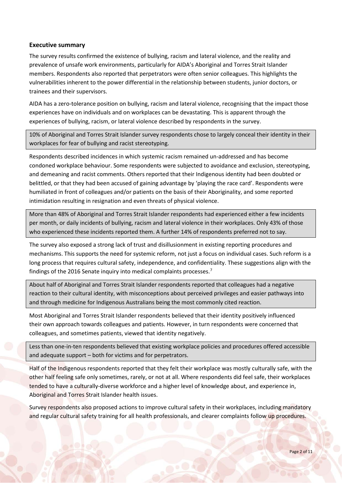#### **Executive summary**

The survey results confirmed the existence of bullying, racism and lateral violence, and the reality and prevalence of unsafe work environments, particularly for AIDA's Aboriginal and Torres Strait Islander members. Respondents also reported that perpetrators were often senior colleagues. This highlights the vulnerabilities inherent to the power differential in the relationship between students, junior doctors, or trainees and their supervisors.

AIDA has a zero-tolerance position on bullying, racism and lateral violence, recognising that the impact those experiences have on individuals and on workplaces can be devastating. This is apparent through the experiences of bullying, racism, or lateral violence described by respondents in the survey.

10% of Aboriginal and Torres Strait Islander survey respondents chose to largely conceal their identity in their workplaces for fear of bullying and racist stereotyping.

Respondents described incidences in which systemic racism remained un-addressed and has become condoned workplace behaviour. Some respondents were subjected to avoidance and exclusion, stereotyping, and demeaning and racist comments. Others reported that their Indigenous identity had been doubted or belittled, or that they had been accused of gaining advantage by 'playing the race card'. Respondents were humiliated in front of colleagues and/or patients on the basis of their Aboriginality, and some reported intimidation resulting in resignation and even threats of physical violence.

More than 48% of Aboriginal and Torres Strait Islander respondents had experienced either a few incidents per month, or daily incidents of bullying, racism and lateral violence in their workplaces. Only 43% of those who experienced these incidents reported them. A further 14% of respondents preferred not to say.

The survey also exposed a strong lack of trust and disillusionment in existing reporting procedures and mechanisms. This supports the need for systemic reform, not just a focus on individual cases. Such reform is a long process that requires cultural safety, independence, and confidentiality. These suggestions align with the findings of the 2016 Senate inquiry into medical complaints processes.<sup>[7](#page-11-6)</sup>

About half of Aboriginal and Torres Strait Islander respondents reported that colleagues had a negative reaction to their cultural identity, with misconceptions about perceived privileges and easier pathways into and through medicine for Indigenous Australians being the most commonly cited reaction.

Most Aboriginal and Torres Strait Islander respondents believed that their identity positively influenced their own approach towards colleagues and patients. However, in turn respondents were concerned that colleagues, and sometimes patients, viewed that identity negatively.

Less than one-in-ten respondents believed that existing workplace policies and procedures offered accessible and adequate support – both for victims and for perpetrators.

Half of the Indigenous respondents reported that they felt their workplace was mostly culturally safe, with the other half feeling safe only sometimes, rarely, or not at all. Where respondents did feel safe, their workplaces tended to have a culturally-diverse workforce and a higher level of knowledge about, and experience in, Aboriginal and Torres Strait Islander health issues.

Survey respondents also proposed actions to improve cultural safety in their workplaces, including mandatory and regular cultural safety training for all health professionals, and clearer complaints follow up procedures.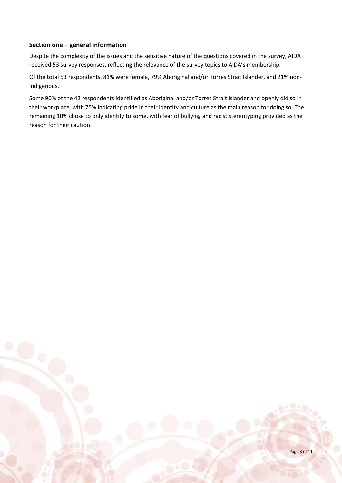# **Section one – general information**

Despite the complexity of the issues and the sensitive nature of the questions covered in the survey, AIDA received 53 survey responses, reflecting the relevance of the survey topics to AIDA's membership.

Of the total 53 respondents, 81% were female, 79% Aboriginal and/or Torres Strait Islander, and 21% non-Indigenous.

Some 90% of the 42 respondents identified as Aboriginal and/or Torres Strait Islander and openly did so in their workplace, with 75% indicating pride in their identity and culture as the main reason for doing so. The remaining 10% chose to only identify to some, with fear of bullying and racist stereotyping provided as the reason for their caution.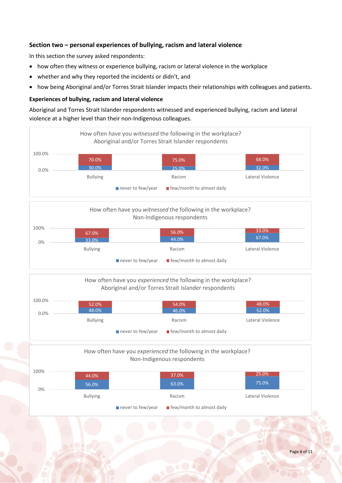# **Section two – personal experiences of bullying, racism and lateral violence**

In this section the survey asked respondents:

- how often they witness or experience bullying, racism or lateral violence in the workplace
- whether and why they reported the incidents or didn't, and
- how being Aboriginal and/or Torres Strait Islander impacts their relationships with colleagues and patients.

# **Experiences of bullying, racism and lateral violence**

Aboriginal and Torres Strait Islander respondents witnessed and experienced bullying, racism and lateral violence at a higher level than their non-Indigenous colleagues.





| 100.0% | 52.0%           |                                                                              | 54.0%  | 48.0%            |
|--------|-----------------|------------------------------------------------------------------------------|--------|------------------|
| 0.0%   | 48.0%           |                                                                              | 46.0%  | 52.0%            |
|        | <b>Bullying</b> |                                                                              | Racism | Lateral Violence |
|        |                 | $\blacksquare$ few/month to almost daily<br>$\blacksquare$ never to few/year |        |                  |

# How often have you *experienced* the following in the workplace? Non-Indigenous respondents

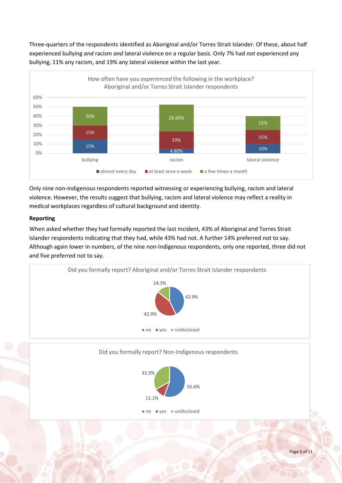Three-quarters of the respondents identified as Aboriginal and/or Torres Strait Islander. Of these, about half experienced bullying *and* racism *and* lateral violence on a regular basis. Only 7% had *not* experienced any bullying, 11% any racism, and 19% any lateral violence within the last year.



Only nine non-Indigenous respondents reported witnessing or experiencing bullying, racism and lateral violence. However, the results suggest that bullying, racism and lateral violence may reflect a reality in medical workplaces regardless of cultural background and identity.

# **Reporting**

When asked whether they had formally reported the last incident, 43% of Aboriginal and Torres Strait Islander respondents indicating that they had, while 43% had not. A further 14% preferred not to say. Although again lower in numbers, of the nine non-Indigenous respondents, only one reported, three did not and five preferred not to say.

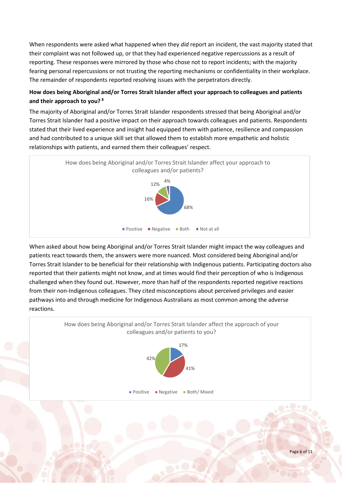When respondents were asked what happened when they *did* report an incident, the vast majority stated that their complaint was not followed up, or that they had experienced negative repercussions as a result of reporting. These responses were mirrored by those who chose not to report incidents; with the majority fearing personal repercussions or not trusting the reporting mechanisms or confidentiality in their workplace. The remainder of respondents reported resolving issues with the perpetrators directly.

# **How does being Aboriginal and/or Torres Strait Islander affect your approach to colleagues and patients and their approach to you? [8](#page-11-7)**

The majority of Aboriginal and/or Torres Strait Islander respondents stressed that being Aboriginal and/or Torres Strait Islander had a positive impact on their approach towards colleagues and patients. Respondents stated that their lived experience and insight had equipped them with patience, resilience and compassion and had contributed to a unique skill set that allowed them to establish more empathetic and holistic relationships with patients, and earned them their colleagues' respect.



When asked about how being Aboriginal and/or Torres Strait Islander might impact the way colleagues and patients react towards them, the answers were more nuanced. Most considered being Aboriginal and/or Torres Strait Islander to be beneficial for their relationship with Indigenous patients. Participating doctors also reported that their patients might not know, and at times would find their perception of who is Indigenous challenged when they found out. However, more than half of the respondents reported negative reactions from their non-Indigenous colleagues. They cited misconceptions about perceived privileges and easier pathways into and through medicine for Indigenous Australians as most common among the adverse reactions.

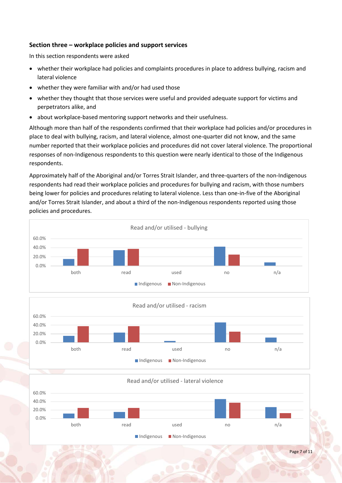# **Section three – workplace policies and support services**

In this section respondents were asked

- whether their workplace had policies and complaints procedures in place to address bullying, racism and lateral violence
- whether they were familiar with and/or had used those
- whether they thought that those services were useful and provided adequate support for victims and perpetrators alike, and
- about workplace-based mentoring support networks and their usefulness.

Although more than half of the respondents confirmed that their workplace had policies and/or procedures in place to deal with bullying, racism, and lateral violence, almost one-quarter did not know, and the same number reported that their workplace policies and procedures did not cover lateral violence. The proportional responses of non-Indigenous respondents to this question were nearly identical to those of the Indigenous respondents.

Approximately half of the Aboriginal and/or Torres Strait Islander, and three-quarters of the non-Indigenous respondents had read their workplace policies and procedures for bullying and racism, with those numbers being lower for policies and procedures relating to lateral violence. Less than one-in-five of the Aboriginal and/or Torres Strait Islander, and about a third of the non-Indigenous respondents reported using those policies and procedures.





0.0% 20.0% 40.0% 60.0% both read used no n/a Read and/or utilised - lateral violence Indigenous **Non-Indigenous**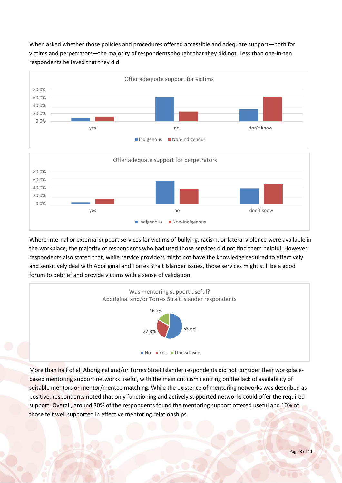When asked whether those policies and procedures offered accessible and adequate support—both for victims and perpetrators—the majority of respondents thought that they did not. Less than one-in-ten respondents believed that they did.



Where internal or external support services for victims of bullying, racism, or lateral violence were available in the workplace, the majority of respondents who had used those services did not find them helpful. However, respondents also stated that, while service providers might not have the knowledge required to effectively and sensitively deal with Aboriginal and Torres Strait Islander issues, those services might still be a good forum to debrief and provide victims with a sense of validation.



More than half of all Aboriginal and/or Torres Strait Islander respondents did not consider their workplacebased mentoring support networks useful, with the main criticism centring on the lack of availability of suitable mentors or mentor/mentee matching. While the existence of mentoring networks was described as positive, respondents noted that only functioning and actively supported networks could offer the required support. Overall, around 30% of the respondents found the mentoring support offered useful and 10% of those felt well supported in effective mentoring relationships.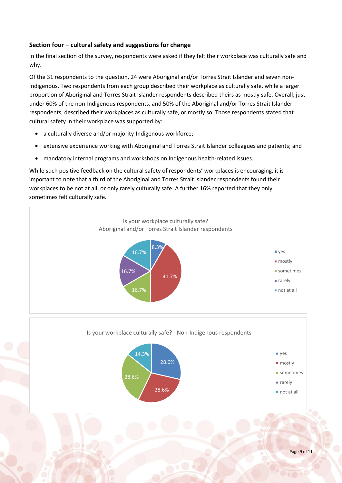# **Section four – cultural safety and suggestions for change**

In the final section of the survey, respondents were asked if they felt their workplace was culturally safe and why.

Of the 31 respondents to the question, 24 were Aboriginal and/or Torres Strait Islander and seven non-Indigenous. Two respondents from each group described their workplace as culturally safe, while a larger proportion of Aboriginal and Torres Strait Islander respondents described theirs as mostly safe. Overall, just under 60% of the non-Indigenous respondents, and 50% of the Aboriginal and/or Torres Strait Islander respondents, described their workplaces as culturally safe, or mostly so. Those respondents stated that cultural safety in their workplace was supported by:

- a culturally diverse and/or majority-Indigenous workforce;
- extensive experience working with Aboriginal and Torres Strait Islander colleagues and patients; and
- mandatory internal programs and workshops on Indigenous health-related issues.

While such positive feedback on the cultural safety of respondents' workplaces is encouraging, it is important to note that a third of the Aboriginal and Torres Strait Islander respondents found their workplaces to be not at all, or only rarely culturally safe. A further 16% reported that they only sometimes felt culturally safe.

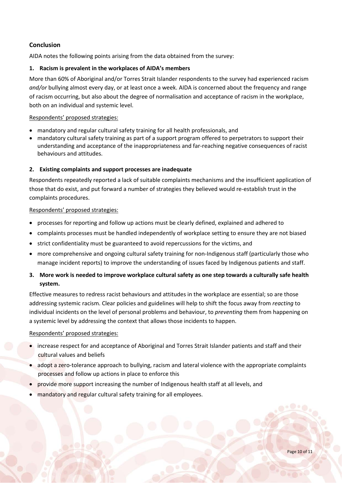# **Conclusion**

AIDA notes the following points arising from the data obtained from the survey:

# **1. Racism is prevalent in the workplaces of AIDA's members**

More than 60% of Aboriginal and/or Torres Strait Islander respondents to the survey had experienced racism *and/or* bullying almost every day, or at least once a week. AIDA is concerned about the frequency and range of racism occurring, but also about the degree of normalisation and acceptance of racism in the workplace, both on an individual and systemic level.

#### Respondents' proposed strategies:

- mandatory and regular cultural safety training for all health professionals, and
- mandatory cultural safety training as part of a support program offered to perpetrators to support their understanding and acceptance of the inappropriateness and far-reaching negative consequences of racist behaviours and attitudes.

# **2. Existing complaints and support processes are inadequate**

Respondents repeatedly reported a lack of suitable complaints mechanisms and the insufficient application of those that do exist, and put forward a number of strategies they believed would re-establish trust in the complaints procedures.

# Respondents' proposed strategies:

- processes for reporting and follow up actions must be clearly defined, explained and adhered to
- complaints processes must be handled independently of workplace setting to ensure they are not biased
- strict confidentiality must be guaranteed to avoid repercussions for the victims, and
- more comprehensive and ongoing cultural safety training for non-Indigenous staff (particularly those who manage incident reports) to improve the understanding of issues faced by Indigenous patients and staff.
- **3. More work is needed to improve workplace cultural safety as one step towards a culturally safe health system.**

Effective measures to redress racist behaviours and attitudes in the workplace are essential; so are those addressing systemic racism. Clear policies and guidelines will help to shift the focus away from *reacting* to individual incidents on the level of personal problems and behaviour, to *preventing* them from happening on a systemic level by addressing the context that allows those incidents to happen.

#### Respondents' proposed strategies:

- increase respect for and acceptance of Aboriginal and Torres Strait Islander patients and staff and their cultural values and beliefs
- adopt a zero-tolerance approach to bullying, racism and lateral violence with the appropriate complaints processes and follow up actions in place to enforce this
- provide more support increasing the number of Indigenous health staff at all levels, and
- mandatory and regular cultural safety training for all employees.